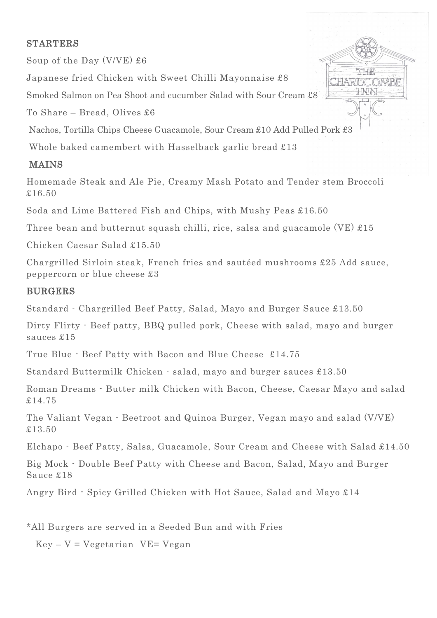#### STARTERS

Soup of the Day (V/VE) £6

Japanese fried Chicken with Sweet Chilli Mayonnaise £8

Smoked Salmon on Pea Shoot and cucumber Salad with Sour Cream £8

To Share – Bread, Olives £6

Nachos, Tortilla Chips Cheese Guacamole, Sour Cream £10 Add Pulled Pork £3

Whole baked camembert with Hasselback garlic bread £13

### MAINS

Homemade Steak and Ale Pie, Creamy Mash Potato and Tender stem Broccoli £16.50

Soda and Lime Battered Fish and Chips, with Mushy Peas £16.50

Three bean and butternut squash chilli, rice, salsa and guacamole (VE)  $\pounds 15$ 

Chicken Caesar Salad £15.50

Chargrilled Sirloin steak, French fries and sautéed mushrooms £25 Add sauce, peppercorn or blue cheese £3

# BURGERS

Standard - Chargrilled Beef Patty, Salad, Mayo and Burger Sauce £13.50

Dirty Flirty - Beef patty, BBQ pulled pork, Cheese with salad, mayo and burger sauces £15

True Blue - Beef Patty with Bacon and Blue Cheese £14.75

Standard Buttermilk Chicken - salad, mayo and burger sauces £13.50

Roman Dreams - Butter milk Chicken with Bacon, Cheese, Caesar Mayo and salad £14.75

The Valiant Vegan - Beetroot and Quinoa Burger, Vegan mayo and salad (V/VE) £13.50

Elchapo - Beef Patty, Salsa, Guacamole, Sour Cream and Cheese with Salad £14.50

Big Mock - Double Beef Patty with Cheese and Bacon, Salad, Mayo and Burger Sauce £18

Angry Bird - Spicy Grilled Chicken with Hot Sauce, Salad and Mayo £14

\*All Burgers are served in a Seeded Bun and with Fries

 $Key - V = Vegetarian$  VE= Vegan